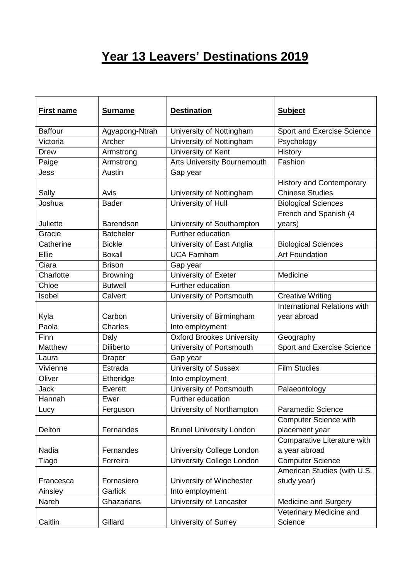## **Year 13 Leavers' Destinations 2019**

| <b>First name</b> | <b>Surname</b>   | <b>Destination</b>                 | <b>Subject</b>                                            |
|-------------------|------------------|------------------------------------|-----------------------------------------------------------|
| <b>Baffour</b>    | Agyapong-Ntrah   | University of Nottingham           | Sport and Exercise Science                                |
| Victoria          | Archer           | University of Nottingham           | Psychology                                                |
| <b>Drew</b>       | Armstrong        | University of Kent                 | History                                                   |
| Paige             | Armstrong        | <b>Arts University Bournemouth</b> | Fashion                                                   |
| Jess              | Austin           | Gap year                           |                                                           |
| Sally             | Avis             | University of Nottingham           | <b>History and Contemporary</b><br><b>Chinese Studies</b> |
| Joshua            | <b>Bader</b>     | University of Hull                 | <b>Biological Sciences</b>                                |
| Juliette          | <b>Barendson</b> | University of Southampton          | French and Spanish (4<br>years)                           |
| Gracie            | <b>Batcheler</b> | Further education                  |                                                           |
| Catherine         | <b>Bickle</b>    | University of East Anglia          | <b>Biological Sciences</b>                                |
| Ellie             | <b>Boxall</b>    | <b>UCA Farnham</b>                 | <b>Art Foundation</b>                                     |
| Ciara             | <b>Brison</b>    | Gap year                           |                                                           |
| Charlotte         | <b>Browning</b>  | University of Exeter               | Medicine                                                  |
| Chloe             | <b>Butwell</b>   | Further education                  |                                                           |
| Isobel            | Calvert          | University of Portsmouth           | <b>Creative Writing</b>                                   |
|                   |                  |                                    | International Relations with                              |
| Kyla              | Carbon           | University of Birmingham           | year abroad                                               |
| Paola             | Charles          | Into employment                    |                                                           |
| Finn              | Daly             | Oxford Brookes University          | Geography                                                 |
| Matthew           | <b>Diliberto</b> | University of Portsmouth           | Sport and Exercise Science                                |
| Laura             | <b>Draper</b>    | Gap year                           |                                                           |
| Vivienne          | Estrada          | University of Sussex               | <b>Film Studies</b>                                       |
| Oliver            | Etheridge        | Into employment                    |                                                           |
| Jack              | Everett          | University of Portsmouth           | Palaeontology                                             |
| Hannah            | Ewer             | <b>Further education</b>           |                                                           |
| Lucy              | Ferguson         | University of Northampton          | <b>Paramedic Science</b>                                  |
|                   |                  |                                    | <b>Computer Science with</b>                              |
| Delton            | Fernandes        | <b>Brunel University London</b>    | placement year                                            |
| Nadia             | Fernandes        | University College London          | Comparative Literature with<br>a year abroad              |
| Tiago             | Ferreira         | University College London          | <b>Computer Science</b>                                   |
|                   |                  |                                    | American Studies (with U.S.                               |
| Francesca         | Fornasiero       | University of Winchester           | study year)                                               |
| Ainsley           | Garlick          | Into employment                    |                                                           |
| Nareh             | Ghazarians       | University of Lancaster            | <b>Medicine and Surgery</b>                               |
| Caitlin           | Gillard          | <b>University of Surrey</b>        | Veterinary Medicine and<br>Science                        |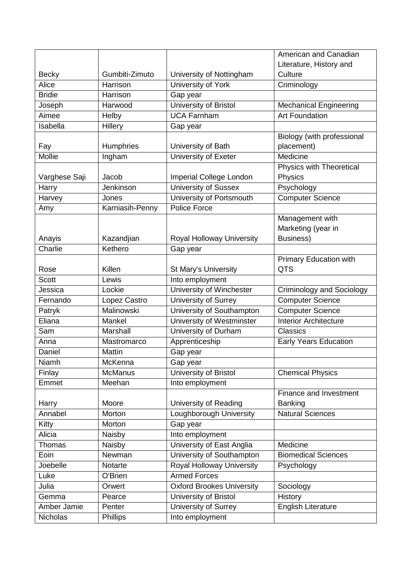|               |                 |                                  | American and Canadian            |
|---------------|-----------------|----------------------------------|----------------------------------|
|               |                 |                                  | Literature, History and          |
| <b>Becky</b>  | Gumbiti-Zimuto  | University of Nottingham         | Culture                          |
| Alice         | Harrison        | University of York               | Criminology                      |
| <b>Bridie</b> | Harrison        | Gap year                         |                                  |
| Joseph        | Harwood         | University of Bristol            | <b>Mechanical Engineering</b>    |
| Aimee         | Helby           | <b>UCA Farnham</b>               | <b>Art Foundation</b>            |
| Isabella      | Hillery         | Gap year                         |                                  |
|               |                 |                                  | Biology (with professional       |
| Fay           | Humphries       | University of Bath               | placement)                       |
| <b>Mollie</b> | Ingham          | University of Exeter             | Medicine                         |
|               |                 |                                  | Physics with Theoretical         |
| Varghese Saji | Jacob           | Imperial College London          | Physics                          |
| Harry         | Jenkinson       | <b>University of Sussex</b>      | Psychology                       |
| Harvey        | Jones           | University of Portsmouth         | <b>Computer Science</b>          |
| Amy           | Karniasih-Penny | <b>Police Force</b>              |                                  |
|               |                 |                                  | Management with                  |
|               |                 |                                  | Marketing (year in               |
| Anayis        | Kazandjian      | Royal Holloway University        | Business)                        |
| Charlie       | Kethero         | Gap year                         |                                  |
|               |                 |                                  | <b>Primary Education with</b>    |
| Rose          | Killen          | <b>St Mary's University</b>      | <b>QTS</b>                       |
| <b>Scott</b>  | Lewis           | Into employment                  |                                  |
| Jessica       | Lockie          | University of Winchester         | <b>Criminology and Sociology</b> |
| Fernando      | Lopez Castro    | University of Surrey             | <b>Computer Science</b>          |
| Patryk        | Malinowski      | University of Southampton        | Computer Science                 |
| Eliana        | Mankel          | University of Westminster        | <b>Interior Architecture</b>     |
| Sam           | Marshall        | University of Durham             | <b>Classics</b>                  |
| Anna          | Mastromarco     | Apprenticeship                   | <b>Early Years Education</b>     |
| Daniel        | <b>Mattin</b>   | Gap year                         |                                  |
| Niamh         | McKenna         | Gap year                         |                                  |
| Finlay        | <b>McManus</b>  | University of Bristol            | <b>Chemical Physics</b>          |
| Emmet         | Meehan          | Into employment                  |                                  |
|               |                 |                                  | Finance and Investment           |
| Harry         | Moore           | University of Reading            | <b>Banking</b>                   |
| Annabel       | Morton          | Loughborough University          | <b>Natural Sciences</b>          |
| Kitty         | Morton          | Gap year                         |                                  |
| Alicia        | Naisby          | Into employment                  |                                  |
| Thomas        | Naisby          | University of East Anglia        | Medicine                         |
| Eoin          | Newman          | University of Southampton        | <b>Biomedical Sciences</b>       |
| Joebelle      | Notarte         | Royal Holloway University        | Psychology                       |
| Luke          | O'Brien         | <b>Armed Forces</b>              |                                  |
| Julia         | Orwert          | <b>Oxford Brookes University</b> |                                  |
|               |                 |                                  | Sociology                        |
| Gemma         | Pearce          | University of Bristol            | <b>History</b>                   |
| Amber Jamie   | Penter          | <b>University of Surrey</b>      | <b>English Literature</b>        |
| Nicholas      | Phillips        | Into employment                  |                                  |